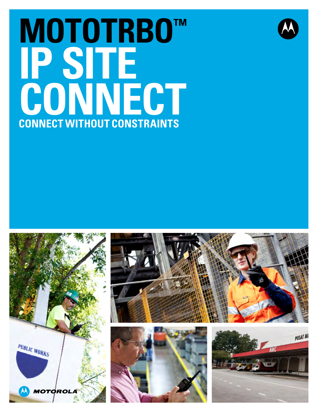# **MOTOTRBO™ IP SITE**  CONNECT **CONSTRAINTS CONNECT WITHOUT CONSTRAINTS**









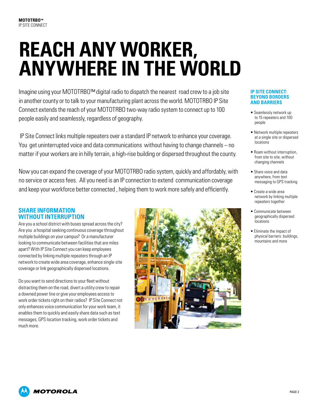# **REACH ANY WORKER, ANYWHERE IN THE WORLD**

Imagine using your MOTOTRBO™ digital radio to dispatch the nearest road crew to a job site in another county or to talk to your manufacturing plant across the world. MOTOTRBO IP Site Connect extends the reach of your MOTOTRBO two-way radio system to connect up to 100 people easily and seamlessly, regardless of geography.

 IP Site Connect links multiple repeaters over a standard IP network to enhance your coverage. You get uninterrupted voice and data communications without having to change channels – no matter if your workers are in hilly terrain, a high-rise building or dispersed throughout the county.

Now you can expand the coverage of your MOTOTRBO radio system, quickly and affordably, with no service or access fees. All you need is an IP connection to extend communication coverage and keep your workforce better connected , helping them to work more safely and efficiently.

## **SHARE INFORMATION WITHOUT INTERRUPTION**

Are you a school district with buses spread across the city? Are you a hospital seeking continuous coverage throughout multiple buildings on your campus? Or a manufacturer looking to communicate between facilities that are miles apart? With IP Site Connect you can keep employees connected by linking multiple repeaters through an IP network to create wide area coverage, enhance single-site coverage or link geographically dispersed locations.

Do you want to send directions to your fleet without distracting them on the road, divert a utility crew to repair a downed power line or give your employees access to work order tickets right on their radios? IP Site Connect not only enhances voice communication for your work team, it enables them to quickly and easily share data such as text messages, GPS location tracking, work order tickets and much more.



#### **IP Site Connect: BEYOND BORDERS AND BARRIERS**

- Seamlessly network up to 15 repeaters and 100 people
- Network multiple repeaters at a single site or dispersed locations
- Roam without interruption, from site to site, without changing channels
- Share voice and data anywhere, from text messaging to GPS tracking
- Create a wide area network by linking multiple repeaters together
- Communicate between geographically dispersed locations
- Eliminate the impact of physical barriers: buildings, mountains and more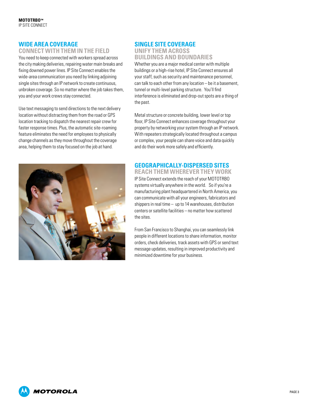### **Wide area coverage**

#### **CONNECT WITH THEM IN THE FIELD**

You need to keep connected with workers spread across the city making deliveries, repairing water main breaks and fixing downed power lines. IP Site Connect enables the wide-area communication you need by linking adjoining single sites through an IP network to create continuous, unbroken coverage. So no matter where the job takes them, you and your work crews stay connected.

Use text messaging to send directions to the next delivery location without distracting them from the road or GPS location tracking to dispatch the nearest repair crew for faster response times. Plus, the automatic site-roaming feature eliminates the need for employees to physically change channels as they move throughout the coverage area, helping them to stay focused on the job at hand.



### **Single site coverage**

#### **UNIFY THEM ACROSS BUILDINGS AND BOUNDARIES**

Whether you are a major medical center with multiple buildings or a high-rise hotel, IP Site Connect ensures all your staff, such as security and maintenance personnel, can talk to each other from any location – be it a basement, tunnel or multi-level parking structure. You'll find interference is eliminated and drop-out spots are a thing of the past.

Metal structure or concrete building, lower level or top floor, IP Site Connect enhances coverage throughout your property by networking your system through an IP network. With repeaters strategically located throughout a campus or complex, your people can share voice and data quickly and do their work more safely and efficiently.

#### **Geographically-dispersed sites REACH THEM WHEREVER THEY WORK**

IP Site Connect extends the reach of your MOTOTRBO systems virtually anywhere in the world. So if you're a manufacturing plant headquartered in North America, you can communicate with all your engineers, fabricators and shippers in real time – up to 14 warehouses, distribution centers or satellite facilities – no matter how scattered the sites.

From San Francisco to Shanghai, you can seamlessly link people in different locations to share information, monitor orders, check deliveries, track assets with GPS or send text message updates, resulting in improved productivity and minimized downtime for your business.